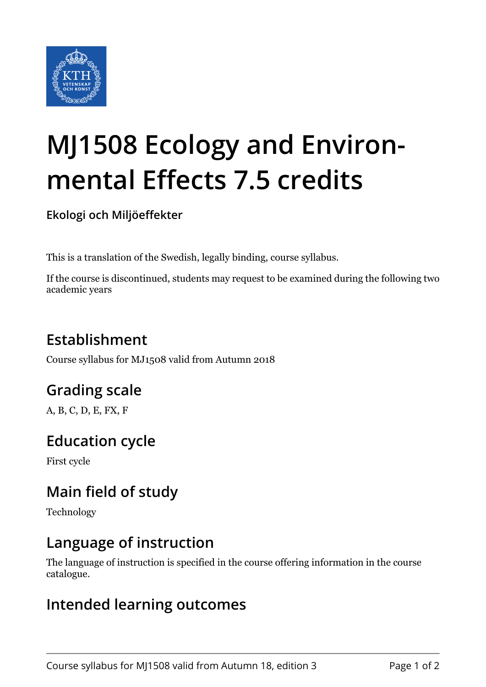

# **MJ1508 Ecology and Environmental Effects 7.5 credits**

**Ekologi och Miljöeffekter**

This is a translation of the Swedish, legally binding, course syllabus.

If the course is discontinued, students may request to be examined during the following two academic years

## **Establishment**

Course syllabus for MJ1508 valid from Autumn 2018

## **Grading scale**

A, B, C, D, E, FX, F

## **Education cycle**

First cycle

## **Main field of study**

Technology

## **Language of instruction**

The language of instruction is specified in the course offering information in the course catalogue.

#### **Intended learning outcomes**